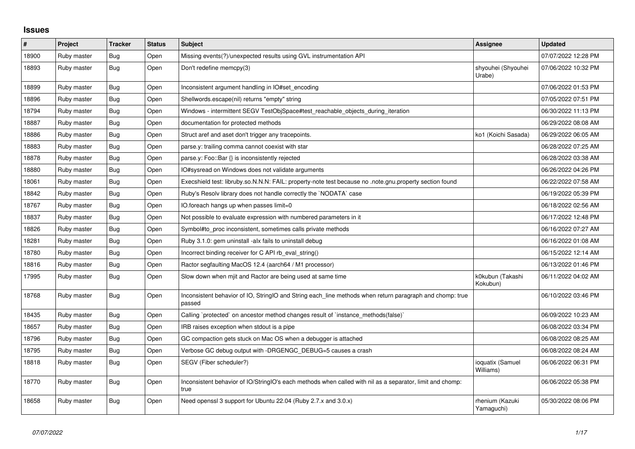## **Issues**

| #     | Project     | <b>Tracker</b> | <b>Status</b> | <b>Subject</b>                                                                                                     | Assignee                      | <b>Updated</b>      |
|-------|-------------|----------------|---------------|--------------------------------------------------------------------------------------------------------------------|-------------------------------|---------------------|
| 18900 | Ruby master | Bug            | Open          | Missing events(?)/unexpected results using GVL instrumentation API                                                 |                               | 07/07/2022 12:28 PM |
| 18893 | Ruby master | Bug            | Open          | Don't redefine memcpy(3)                                                                                           | shyouhei (Shyouhei<br>Urabe)  | 07/06/2022 10:32 PM |
| 18899 | Ruby master | Bug            | Open          | Inconsistent argument handling in IO#set encoding                                                                  |                               | 07/06/2022 01:53 PM |
| 18896 | Ruby master | Bug            | Open          | Shellwords.escape(nil) returns "empty" string                                                                      |                               | 07/05/2022 07:51 PM |
| 18794 | Ruby master | Bug            | Open          | Windows - intermittent SEGV TestObjSpace#test reachable objects during iteration                                   |                               | 06/30/2022 11:13 PM |
| 18887 | Ruby master | Bug            | Open          | documentation for protected methods                                                                                |                               | 06/29/2022 08:08 AM |
| 18886 | Ruby master | Bug            | Open          | Struct aref and aset don't trigger any tracepoints.                                                                | ko1 (Koichi Sasada)           | 06/29/2022 06:05 AM |
| 18883 | Ruby master | <b>Bug</b>     | Open          | parse.y: trailing comma cannot coexist with star                                                                   |                               | 06/28/2022 07:25 AM |
| 18878 | Ruby master | Bug            | Open          | parse.y: Foo::Bar $\{\}$ is inconsistently rejected                                                                |                               | 06/28/2022 03:38 AM |
| 18880 | Ruby master | Bug            | Open          | IO#sysread on Windows does not validate arguments                                                                  |                               | 06/26/2022 04:26 PM |
| 18061 | Ruby master | Bug            | Open          | Execshield test: libruby.so.N.N.N: FAIL: property-note test because no .note.gnu.property section found            |                               | 06/22/2022 07:58 AM |
| 18842 | Ruby master | Bug            | Open          | Ruby's Resolv library does not handle correctly the `NODATA` case                                                  |                               | 06/19/2022 05:39 PM |
| 18767 | Ruby master | Bug            | Open          | IO.foreach hangs up when passes limit=0                                                                            |                               | 06/18/2022 02:56 AM |
| 18837 | Ruby master | Bug            | Open          | Not possible to evaluate expression with numbered parameters in it                                                 |                               | 06/17/2022 12:48 PM |
| 18826 | Ruby master | Bug            | Open          | Symbol#to proc inconsistent, sometimes calls private methods                                                       |                               | 06/16/2022 07:27 AM |
| 18281 | Ruby master | <b>Bug</b>     | Open          | Ruby 3.1.0: gem uninstall -alx fails to uninstall debug                                                            |                               | 06/16/2022 01:08 AM |
| 18780 | Ruby master | Bug            | Open          | Incorrect binding receiver for C API rb eval string()                                                              |                               | 06/15/2022 12:14 AM |
| 18816 | Ruby master | Bug            | Open          | Ractor segfaulting MacOS 12.4 (aarch64 / M1 processor)                                                             |                               | 06/13/2022 01:46 PM |
| 17995 | Ruby master | Bug            | Open          | Slow down when mjit and Ractor are being used at same time                                                         | k0kubun (Takashi<br>Kokubun)  | 06/11/2022 04:02 AM |
| 18768 | Ruby master | Bug            | Open          | Inconsistent behavior of IO, StringIO and String each_line methods when return paragraph and chomp: true<br>passed |                               | 06/10/2022 03:46 PM |
| 18435 | Ruby master | Bug            | Open          | Calling `protected` on ancestor method changes result of `instance_methods(false)`                                 |                               | 06/09/2022 10:23 AM |
| 18657 | Ruby master | Bug            | Open          | IRB raises exception when stdout is a pipe                                                                         |                               | 06/08/2022 03:34 PM |
| 18796 | Ruby master | Bug            | Open          | GC compaction gets stuck on Mac OS when a debugger is attached                                                     |                               | 06/08/2022 08:25 AM |
| 18795 | Ruby master | <b>Bug</b>     | Open          | Verbose GC debug output with -DRGENGC_DEBUG=5 causes a crash                                                       |                               | 06/08/2022 08:24 AM |
| 18818 | Ruby master | Bug            | Open          | SEGV (Fiber scheduler?)                                                                                            | ioquatix (Samuel<br>Williams) | 06/06/2022 06:31 PM |
| 18770 | Ruby master | Bug            | Open          | Inconsistent behavior of IO/StringIO's each methods when called with nil as a separator, limit and chomp:<br>true  |                               | 06/06/2022 05:38 PM |
| 18658 | Ruby master | Bug            | Open          | Need openssl 3 support for Ubuntu 22.04 (Ruby 2.7.x and 3.0.x)                                                     | rhenium (Kazuki<br>Yamaguchi) | 05/30/2022 08:06 PM |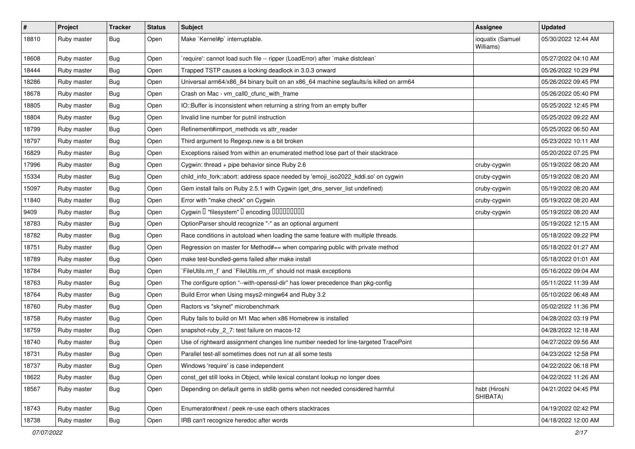| $\vert$ # | Project     | <b>Tracker</b> | <b>Status</b> | <b>Subject</b>                                                                        | <b>Assignee</b>               | <b>Updated</b>      |
|-----------|-------------|----------------|---------------|---------------------------------------------------------------------------------------|-------------------------------|---------------------|
| 18810     | Ruby master | Bug            | Open          | Make `Kernel#p` interruptable.                                                        | ioquatix (Samuel<br>Williams) | 05/30/2022 12:44 AM |
| 18608     | Ruby master | Bug            | Open          | 'require': cannot load such file -- ripper (LoadError) after 'make distclean'         |                               | 05/27/2022 04:10 AM |
| 18444     | Ruby master | <b>Bug</b>     | Open          | Trapped TSTP causes a locking deadlock in 3.0.3 onward                                |                               | 05/26/2022 10:29 PM |
| 18286     | Ruby master | Bug            | Open          | Universal arm64/x86_84 binary built on an x86_64 machine segfaults/is killed on arm64 |                               | 05/26/2022 09:45 PM |
| 18678     | Ruby master | <b>Bug</b>     | Open          | Crash on Mac - vm call0 cfunc with frame                                              |                               | 05/26/2022 05:40 PM |
| 18805     | Ruby master | <b>Bug</b>     | Open          | IO::Buffer is inconsistent when returning a string from an empty buffer               |                               | 05/25/2022 12:45 PM |
| 18804     | Ruby master | Bug            | Open          | Invalid line number for putnil instruction                                            |                               | 05/25/2022 09:22 AM |
| 18799     | Ruby master | Bug            | Open          | Refinement#import_methods vs attr_reader                                              |                               | 05/25/2022 06:50 AM |
| 18797     | Ruby master | Bug            | Open          | Third argument to Regexp.new is a bit broken                                          |                               | 05/23/2022 10:11 AM |
| 16829     | Ruby master | Bug            | Open          | Exceptions raised from within an enumerated method lose part of their stacktrace      |                               | 05/20/2022 07:25 PM |
| 17996     | Ruby master | Bug            | Open          | Cygwin: thread + pipe behavior since Ruby 2.6                                         | cruby-cygwin                  | 05/19/2022 08:20 AM |
| 15334     | Ruby master | Bug            | Open          | child_info_fork::abort: address space needed by 'emoji_iso2022_kddi.so' on cygwin     | cruby-cygwin                  | 05/19/2022 08:20 AM |
| 15097     | Ruby master | Bug            | Open          | Gem install fails on Ruby 2.5.1 with Cygwin (get_dns_server_list undefined)           | cruby-cygwin                  | 05/19/2022 08:20 AM |
| 11840     | Ruby master | Bug            | Open          | Error with "make check" on Cygwin                                                     | cruby-cygwin                  | 05/19/2022 08:20 AM |
| 9409      | Ruby master | Bug            | Open          | Cygwin I "filesystem" I encoding IIIIIIIIIIIII                                        | cruby-cygwin                  | 05/19/2022 08:20 AM |
| 18783     | Ruby master | <b>Bug</b>     | Open          | OptionParser should recognize "-" as an optional argument                             |                               | 05/19/2022 12:15 AM |
| 18782     | Ruby master | Bug            | Open          | Race conditions in autoload when loading the same feature with multiple threads.      |                               | 05/18/2022 09:22 PM |
| 18751     | Ruby master | Bug            | Open          | Regression on master for Method#== when comparing public with private method          |                               | 05/18/2022 01:27 AM |
| 18789     | Ruby master | <b>Bug</b>     | Open          | make test-bundled-gems failed after make install                                      |                               | 05/18/2022 01:01 AM |
| 18784     | Ruby master | Bug            | Open          | FileUtils.rm_f` and `FileUtils.rm_rf` should not mask exceptions                      |                               | 05/16/2022 09:04 AM |
| 18763     | Ruby master | <b>Bug</b>     | Open          | The configure option "--with-openssl-dir" has lower precedence than pkg-config        |                               | 05/11/2022 11:39 AM |
| 18764     | Ruby master | Bug            | Open          | Build Error when Using msys2-mingw64 and Ruby 3.2                                     |                               | 05/10/2022 06:48 AM |
| 18760     | Ruby master | <b>Bug</b>     | Open          | Ractors vs "skynet" microbenchmark                                                    |                               | 05/02/2022 11:36 PM |
| 18758     | Ruby master | <b>Bug</b>     | Open          | Ruby fails to build on M1 Mac when x86 Homebrew is installed                          |                               | 04/28/2022 03:19 PM |
| 18759     | Ruby master | Bug            | Open          | snapshot-ruby_2_7: test failure on macos-12                                           |                               | 04/28/2022 12:18 AM |
| 18740     | Ruby master | Bug            | Open          | Use of rightward assignment changes line number needed for line-targeted TracePoint   |                               | 04/27/2022 09:56 AM |
| 18731     | Ruby master | <b>Bug</b>     | Open          | Parallel test-all sometimes does not run at all some tests                            |                               | 04/23/2022 12:58 PM |
| 18737     | Ruby master | <b>Bug</b>     | Open          | Windows 'require' is case independent                                                 |                               | 04/22/2022 06:18 PM |
| 18622     | Ruby master | <b>Bug</b>     | Open          | const_get still looks in Object, while lexical constant lookup no longer does         |                               | 04/22/2022 11:26 AM |
| 18567     | Ruby master | <b>Bug</b>     | Open          | Depending on default gems in stdlib gems when not needed considered harmful           | hsbt (Hiroshi<br>SHIBATA)     | 04/21/2022 04:45 PM |
| 18743     | Ruby master | <b>Bug</b>     | Open          | Enumerator#next / peek re-use each others stacktraces                                 |                               | 04/19/2022 02:42 PM |
| 18738     | Ruby master | Bug            | Open          | IRB can't recognize heredoc after words                                               |                               | 04/18/2022 12:00 AM |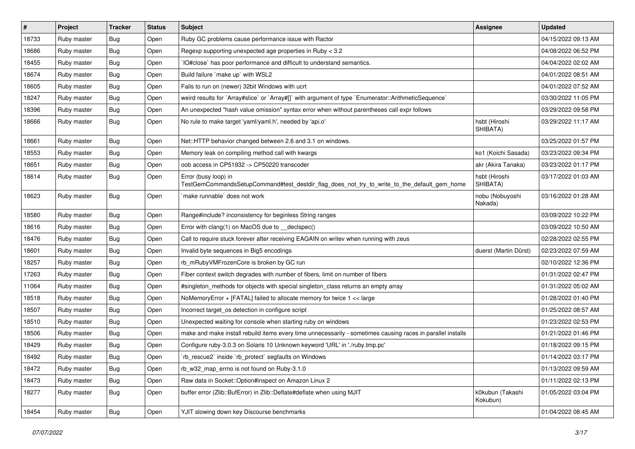| $\pmb{\#}$ | Project     | <b>Tracker</b> | <b>Status</b> | Subject                                                                                                             | <b>Assignee</b>              | <b>Updated</b>      |
|------------|-------------|----------------|---------------|---------------------------------------------------------------------------------------------------------------------|------------------------------|---------------------|
| 18733      | Ruby master | Bug            | Open          | Ruby GC problems cause performance issue with Ractor                                                                |                              | 04/15/2022 09:13 AM |
| 18686      | Ruby master | Bug            | Open          | Regexp supporting unexpected age properties in Ruby < 3.2                                                           |                              | 04/08/2022 06:52 PM |
| 18455      | Ruby master | <b>Bug</b>     | Open          | IO#close` has poor performance and difficult to understand semantics.                                               |                              | 04/04/2022 02:02 AM |
| 18674      | Ruby master | Bug            | Open          | Build failure `make up` with WSL2                                                                                   |                              | 04/01/2022 08:51 AM |
| 18605      | Ruby master | Bug            | Open          | Fails to run on (newer) 32bit Windows with ucrt                                                                     |                              | 04/01/2022 07:52 AM |
| 18247      | Ruby master | Bug            | Open          | weird results for `Array#slice` or `Array#[]` with argument of type `Enumerator::ArithmeticSequence`                |                              | 03/30/2022 11:05 PM |
| 18396      | Ruby master | Bug            | Open          | An unexpected "hash value omission" syntax error when without parentheses call expr follows                         |                              | 03/29/2022 09:58 PM |
| 18666      | Ruby master | Bug            | Open          | No rule to make target 'yaml/yaml.h', needed by 'api.o'                                                             | hsbt (Hiroshi<br>SHIBATA)    | 03/29/2022 11:17 AM |
| 18661      | Ruby master | Bug            | Open          | Net::HTTP behavior changed between 2.6 and 3.1 on windows.                                                          |                              | 03/25/2022 01:57 PM |
| 18553      | Ruby master | <b>Bug</b>     | Open          | Memory leak on compiling method call with kwargs                                                                    | ko1 (Koichi Sasada)          | 03/23/2022 09:34 PM |
| 18651      | Ruby master | Bug            | Open          | oob access in CP51932 -> CP50220 transcoder                                                                         | akr (Akira Tanaka)           | 03/23/2022 01:17 PM |
| 18614      | Ruby master | <b>Bug</b>     | Open          | Error (busy loop) in<br>TestGemCommandsSetupCommand#test_destdir_flag_does_not_try_to_write_to_the_default_gem_home | hsbt (Hiroshi<br>SHIBATA)    | 03/17/2022 01:03 AM |
| 18623      | Ruby master | Bug            | Open          | make runnable does not work                                                                                         | nobu (Nobuyoshi<br>Nakada)   | 03/16/2022 01:28 AM |
| 18580      | Ruby master | <b>Bug</b>     | Open          | Range#include? inconsistency for beginless String ranges                                                            |                              | 03/09/2022 10:22 PM |
| 18616      | Ruby master | Bug            | Open          | Error with clang(1) on MacOS due to _declspec()                                                                     |                              | 03/09/2022 10:50 AM |
| 18476      | Ruby master | <b>Bug</b>     | Open          | Call to require stuck forever after receiving EAGAIN on writev when running with zeus                               |                              | 02/28/2022 02:55 PM |
| 18601      | Ruby master | Bug            | Open          | Invalid byte sequences in Big5 encodings                                                                            | duerst (Martin Dürst)        | 02/23/2022 07:59 AM |
| 18257      | Ruby master | Bug            | Open          | rb_mRubyVMFrozenCore is broken by GC run                                                                            |                              | 02/10/2022 12:36 PM |
| 17263      | Ruby master | Bug            | Open          | Fiber context switch degrades with number of fibers, limit on number of fibers                                      |                              | 01/31/2022 02:47 PM |
| 11064      | Ruby master | Bug            | Open          | #singleton_methods for objects with special singleton_class returns an empty array                                  |                              | 01/31/2022 05:02 AM |
| 18518      | Ruby master | Bug            | Open          | NoMemoryError + [FATAL] failed to allocate memory for twice 1 << large                                              |                              | 01/28/2022 01:40 PM |
| 18507      | Ruby master | Bug            | Open          | Incorrect target_os detection in configure script                                                                   |                              | 01/25/2022 08:57 AM |
| 18510      | Ruby master | Bug            | Open          | Unexpected waiting for console when starting ruby on windows                                                        |                              | 01/23/2022 02:53 PM |
| 18506      | Ruby master | Bug            | Open          | make and make install rebuild items every time unnecessarily - sometimes causing races in parallel installs         |                              | 01/21/2022 01:46 PM |
| 18429      | Ruby master | <b>Bug</b>     | Open          | Configure ruby-3.0.3 on Solaris 10 Unknown keyword 'URL' in './ruby.tmp.pc'                                         |                              | 01/18/2022 09:15 PM |
| 18492      | Ruby master | Bug            | Open          | `rb_rescue2` inside `rb_protect` segfaults on Windows                                                               |                              | 01/14/2022 03:17 PM |
| 18472      | Ruby master | Bug            | Open          | rb_w32_map_errno is not found on Ruby-3.1.0                                                                         |                              | 01/13/2022 09:59 AM |
| 18473      | Ruby master | Bug            | Open          | Raw data in Socket:: Option#inspect on Amazon Linux 2                                                               |                              | 01/11/2022 02:13 PM |
| 18277      | Ruby master | <b>Bug</b>     | Open          | buffer error (Zlib::BufError) in Zlib::Deflate#deflate when using MJIT                                              | k0kubun (Takashi<br>Kokubun) | 01/05/2022 03:04 PM |
| 18454      | Ruby master | Bug            | Open          | YJIT slowing down key Discourse benchmarks                                                                          |                              | 01/04/2022 08:45 AM |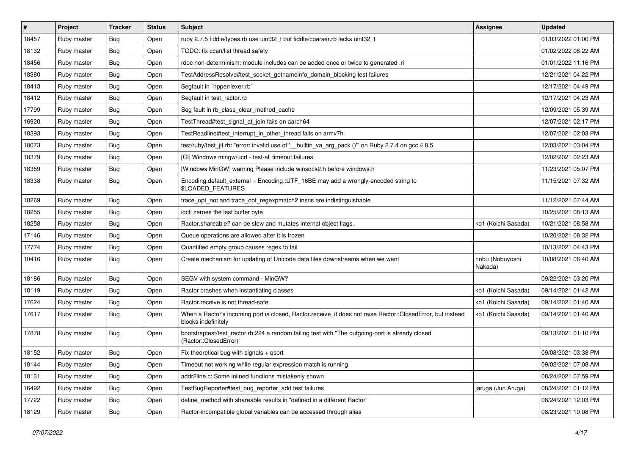| $\sharp$ | Project     | <b>Tracker</b> | <b>Status</b> | <b>Subject</b>                                                                                                                    | <b>Assignee</b>            | <b>Updated</b>      |
|----------|-------------|----------------|---------------|-----------------------------------------------------------------------------------------------------------------------------------|----------------------------|---------------------|
| 18457    | Ruby master | <b>Bug</b>     | Open          | ruby 2.7.5 fiddle/types.rb use uint32_t but fiddle/cparser.rb lacks uint32_t                                                      |                            | 01/03/2022 01:00 PM |
| 18132    | Ruby master | Bug            | Open          | TODO: fix ccan/list thread safety                                                                                                 |                            | 01/02/2022 08:22 AM |
| 18456    | Ruby master | Bug            | Open          | rdoc non-determinism: module includes can be added once or twice to generated .ri                                                 |                            | 01/01/2022 11:16 PM |
| 18380    | Ruby master | <b>Bug</b>     | Open          | TestAddressResolve#test_socket_getnameinfo_domain_blocking test failures                                                          |                            | 12/21/2021 04:22 PM |
| 18413    | Ruby master | <b>Bug</b>     | Open          | Segfault in `ripper/lexer.rb`                                                                                                     |                            | 12/17/2021 04:49 PM |
| 18412    | Ruby master | Bug            | Open          | Segfault in test ractor.rb                                                                                                        |                            | 12/17/2021 04:23 AM |
| 17799    | Ruby master | Bug            | Open          | Seg fault in rb_class_clear_method_cache                                                                                          |                            | 12/09/2021 05:39 AM |
| 16920    | Ruby master | Bug            | Open          | TestThread#test signal at join fails on aarch64                                                                                   |                            | 12/07/2021 02:17 PM |
| 18393    | Ruby master | Bug            | Open          | TestReadline#test_interrupt_in_other_thread fails on armv7hl                                                                      |                            | 12/07/2021 02:03 PM |
| 18073    | Ruby master | <b>Bug</b>     | Open          | test/ruby/test_jit.rb: "error: invalid use of '__builtin_va_arg_pack ()" on Ruby 2.7.4 on gcc 4.8.5                               |                            | 12/03/2021 03:04 PM |
| 18379    | Ruby master | <b>Bug</b>     | Open          | [CI] Windows mingw/ucrt - test-all timeout failures                                                                               |                            | 12/02/2021 02:23 AM |
| 18359    | Ruby master | <b>Bug</b>     | Open          | [Windows MinGW] warning Please include winsock2.h before windows.h                                                                |                            | 11/23/2021 05:07 PM |
| 18338    | Ruby master | <b>Bug</b>     | Open          | Encoding.default_external = Encoding::UTF_16BE may add a wrongly-encoded string to<br>\$LOADED_FEATURES                           |                            | 11/15/2021 07:32 AM |
| 18269    | Ruby master | <b>Bug</b>     | Open          | trace_opt_not and trace_opt_regexpmatch2 insns are indistinguishable                                                              |                            | 11/12/2021 07:44 AM |
| 18255    | Ruby master | Bug            | Open          | ioctl zeroes the last buffer byte                                                                                                 |                            | 10/25/2021 08:13 AM |
| 18258    | Ruby master | <b>Bug</b>     | Open          | Ractor.shareable? can be slow and mutates internal object flags.                                                                  | ko1 (Koichi Sasada)        | 10/21/2021 08:58 AM |
| 17146    | Ruby master | <b>Bug</b>     | Open          | Queue operations are allowed after it is frozen                                                                                   |                            | 10/20/2021 08:32 PM |
| 17774    | Ruby master | <b>Bug</b>     | Open          | Quantified empty group causes regex to fail                                                                                       |                            | 10/13/2021 04:43 PM |
| 10416    | Ruby master | <b>Bug</b>     | Open          | Create mechanism for updating of Unicode data files downstreams when we want                                                      | nobu (Nobuyoshi<br>Nakada) | 10/08/2021 06:40 AM |
| 18186    | Ruby master | <b>Bug</b>     | Open          | SEGV with system command - MinGW?                                                                                                 |                            | 09/22/2021 03:20 PM |
| 18119    | Ruby master | Bug            | Open          | Ractor crashes when instantiating classes                                                                                         | ko1 (Koichi Sasada)        | 09/14/2021 01:42 AM |
| 17624    | Ruby master | <b>Bug</b>     | Open          | Ractor.receive is not thread-safe                                                                                                 | ko1 (Koichi Sasada)        | 09/14/2021 01:40 AM |
| 17617    | Ruby master | <b>Bug</b>     | Open          | When a Ractor's incoming port is closed, Ractor.receive_if does not raise Ractor::ClosedError, but instead<br>blocks indefinitely | ko1 (Koichi Sasada)        | 09/14/2021 01:40 AM |
| 17878    | Ruby master | Bug            | Open          | bootstraptest/test_ractor.rb:224 a random failing test with "The outgoing-port is already closed<br>(Ractor::ClosedError)"        |                            | 09/13/2021 01:10 PM |
| 18152    | Ruby master | Bug            | Open          | Fix theoretical bug with signals + qsort                                                                                          |                            | 09/08/2021 03:38 PM |
| 18144    | Ruby master | <b>Bug</b>     | Open          | Timeout not working while regular expression match is running                                                                     |                            | 09/02/2021 07:08 AM |
| 18131    | Ruby master | <b>Bug</b>     | Open          | addr2line.c: Some inlined functions mistakenly shown                                                                              |                            | 08/24/2021 07:59 PM |
| 16492    | Ruby master | Bug            | Open          | TestBugReporter#test_bug_reporter_add test failures                                                                               | jaruga (Jun Aruga)         | 08/24/2021 01:12 PM |
| 17722    | Ruby master | Bug            | Open          | define_method with shareable results in "defined in a different Ractor"                                                           |                            | 08/24/2021 12:03 PM |
| 18129    | Ruby master | <b>Bug</b>     | Open          | Ractor-incompatible global variables can be accessed through alias                                                                |                            | 08/23/2021 10:08 PM |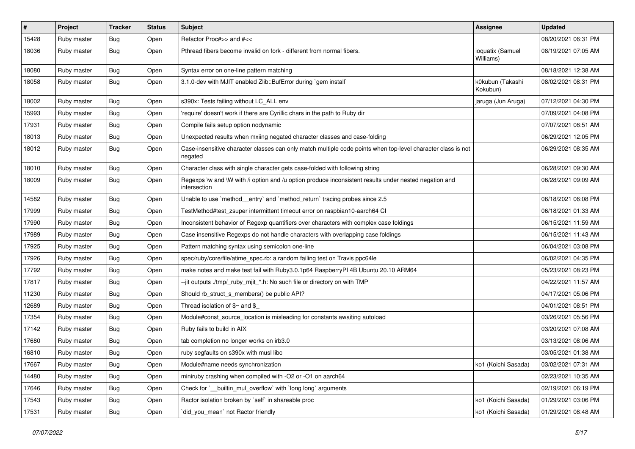| $\#$  | Project     | <b>Tracker</b> | <b>Status</b> | Subject                                                                                                                 | <b>Assignee</b>               | <b>Updated</b>      |
|-------|-------------|----------------|---------------|-------------------------------------------------------------------------------------------------------------------------|-------------------------------|---------------------|
| 15428 | Ruby master | Bug            | Open          | Refactor Proc#>> and #<<                                                                                                |                               | 08/20/2021 06:31 PM |
| 18036 | Ruby master | Bug            | Open          | Pthread fibers become invalid on fork - different from normal fibers.                                                   | ioquatix (Samuel<br>Williams) | 08/19/2021 07:05 AM |
| 18080 | Ruby master | <b>Bug</b>     | Open          | Syntax error on one-line pattern matching                                                                               |                               | 08/18/2021 12:38 AM |
| 18058 | Ruby master | Bug            | Open          | 3.1.0-dev with MJIT enabled Zlib::BufError during `gem install`                                                         | k0kubun (Takashi<br>Kokubun)  | 08/02/2021 08:31 PM |
| 18002 | Ruby master | <b>Bug</b>     | Open          | s390x: Tests failing without LC_ALL env                                                                                 | jaruga (Jun Aruga)            | 07/12/2021 04:30 PM |
| 15993 | Ruby master | Bug            | Open          | 'require' doesn't work if there are Cyrillic chars in the path to Ruby dir                                              |                               | 07/09/2021 04:08 PM |
| 17931 | Ruby master | Bug            | Open          | Compile fails setup option nodynamic                                                                                    |                               | 07/07/2021 08:51 AM |
| 18013 | Ruby master | Bug            | Open          | Unexpected results when mxiing negated character classes and case-folding                                               |                               | 06/29/2021 12:05 PM |
| 18012 | Ruby master | Bug            | Open          | Case-insensitive character classes can only match multiple code points when top-level character class is not<br>negated |                               | 06/29/2021 08:35 AM |
| 18010 | Ruby master | Bug            | Open          | Character class with single character gets case-folded with following string                                            |                               | 06/28/2021 09:30 AM |
| 18009 | Ruby master | Bug            | Open          | Regexps \w and \W with /i option and /u option produce inconsistent results under nested negation and<br>intersection   |                               | 06/28/2021 09:09 AM |
| 14582 | Ruby master | Bug            | Open          | Unable to use `method_entry` and `method_return` tracing probes since 2.5                                               |                               | 06/18/2021 06:08 PM |
| 17999 | Ruby master | <b>Bug</b>     | Open          | TestMethod#test_zsuper intermittent timeout error on raspbian10-aarch64 CI                                              |                               | 06/18/2021 01:33 AM |
| 17990 | Ruby master | Bug            | Open          | Inconsistent behavior of Regexp quantifiers over characters with complex case foldings                                  |                               | 06/15/2021 11:59 AM |
| 17989 | Ruby master | Bug            | Open          | Case insensitive Regexps do not handle characters with overlapping case foldings                                        |                               | 06/15/2021 11:43 AM |
| 17925 | Ruby master | Bug            | Open          | Pattern matching syntax using semicolon one-line                                                                        |                               | 06/04/2021 03:08 PM |
| 17926 | Ruby master | Bug            | Open          | spec/ruby/core/file/atime_spec.rb: a random failing test on Travis ppc64le                                              |                               | 06/02/2021 04:35 PM |
| 17792 | Ruby master | Bug            | Open          | make notes and make test fail with Ruby3.0.1p64 RaspberryPI 4B Ubuntu 20.10 ARM64                                       |                               | 05/23/2021 08:23 PM |
| 17817 | Ruby master | <b>Bug</b>     | Open          | --jit outputs ./tmp/_ruby_mjit_*.h: No such file or directory on with TMP                                               |                               | 04/22/2021 11:57 AM |
| 11230 | Ruby master | <b>Bug</b>     | Open          | Should rb_struct_s_members() be public API?                                                                             |                               | 04/17/2021 05:06 PM |
| 12689 | Ruby master | <b>Bug</b>     | Open          | Thread isolation of $$~$ and $$$                                                                                        |                               | 04/01/2021 08:51 PM |
| 17354 | Ruby master | Bug            | Open          | Module#const_source_location is misleading for constants awaiting autoload                                              |                               | 03/26/2021 05:56 PM |
| 17142 | Ruby master | Bug            | Open          | Ruby fails to build in AIX                                                                                              |                               | 03/20/2021 07:08 AM |
| 17680 | Ruby master | Bug            | Open          | tab completion no longer works on irb3.0                                                                                |                               | 03/13/2021 08:06 AM |
| 16810 | Ruby master | Bug            | Open          | ruby segfaults on s390x with musl libc                                                                                  |                               | 03/05/2021 01:38 AM |
| 17667 | Ruby master | Bug            | Open          | Module#name needs synchronization                                                                                       | ko1 (Koichi Sasada)           | 03/02/2021 07:31 AM |
| 14480 | Ruby master | <b>Bug</b>     | Open          | miniruby crashing when compiled with -O2 or -O1 on aarch64                                                              |                               | 02/23/2021 10:35 AM |
| 17646 | Ruby master | <b>Bug</b>     | Open          | Check for ` builtin mul overflow with long long arguments                                                               |                               | 02/19/2021 06:19 PM |
| 17543 | Ruby master | Bug            | Open          | Ractor isolation broken by `self` in shareable proc                                                                     | ko1 (Koichi Sasada)           | 01/29/2021 03:06 PM |
| 17531 | Ruby master | Bug            | Open          | did_you_mean' not Ractor friendly                                                                                       | ko1 (Koichi Sasada)           | 01/29/2021 08:48 AM |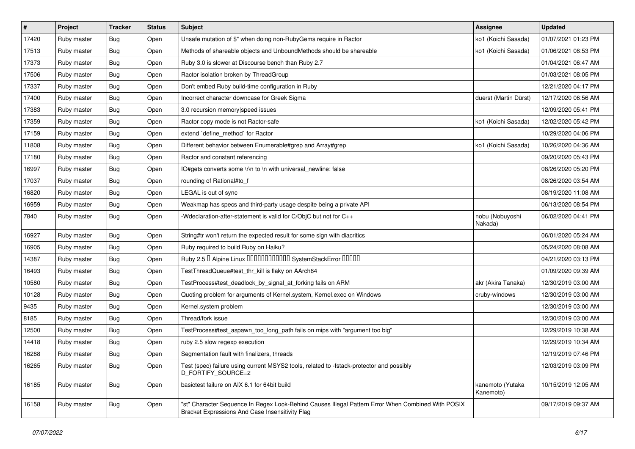| $\vert$ # | Project     | <b>Tracker</b> | <b>Status</b> | <b>Subject</b>                                                                                                                                        | <b>Assignee</b>               | <b>Updated</b>      |
|-----------|-------------|----------------|---------------|-------------------------------------------------------------------------------------------------------------------------------------------------------|-------------------------------|---------------------|
| 17420     | Ruby master | Bug            | Open          | Unsafe mutation of \$" when doing non-RubyGems require in Ractor                                                                                      | ko1 (Koichi Sasada)           | 01/07/2021 01:23 PM |
| 17513     | Ruby master | <b>Bug</b>     | Open          | Methods of shareable objects and UnboundMethods should be shareable                                                                                   | ko1 (Koichi Sasada)           | 01/06/2021 08:53 PM |
| 17373     | Ruby master | <b>Bug</b>     | Open          | Ruby 3.0 is slower at Discourse bench than Ruby 2.7                                                                                                   |                               | 01/04/2021 06:47 AM |
| 17506     | Ruby master | Bug            | Open          | Ractor isolation broken by ThreadGroup                                                                                                                |                               | 01/03/2021 08:05 PM |
| 17337     | Ruby master | <b>Bug</b>     | Open          | Don't embed Ruby build-time configuration in Ruby                                                                                                     |                               | 12/21/2020 04:17 PM |
| 17400     | Ruby master | <b>Bug</b>     | Open          | Incorrect character downcase for Greek Sigma                                                                                                          | duerst (Martin Dürst)         | 12/17/2020 06:56 AM |
| 17383     | Ruby master | <b>Bug</b>     | Open          | 3.0 recursion memory speed issues                                                                                                                     |                               | 12/09/2020 05:41 PM |
| 17359     | Ruby master | <b>Bug</b>     | Open          | Ractor copy mode is not Ractor-safe                                                                                                                   | ko1 (Koichi Sasada)           | 12/02/2020 05:42 PM |
| 17159     | Ruby master | <b>Bug</b>     | Open          | extend `define_method` for Ractor                                                                                                                     |                               | 10/29/2020 04:06 PM |
| 11808     | Ruby master | <b>Bug</b>     | Open          | Different behavior between Enumerable#grep and Array#grep                                                                                             | ko1 (Koichi Sasada)           | 10/26/2020 04:36 AM |
| 17180     | Ruby master | <b>Bug</b>     | Open          | Ractor and constant referencing                                                                                                                       |                               | 09/20/2020 05:43 PM |
| 16997     | Ruby master | <b>Bug</b>     | Open          | IO#gets converts some \r\n to \n with universal_newline: false                                                                                        |                               | 08/26/2020 05:20 PM |
| 17037     | Ruby master | <b>Bug</b>     | Open          | rounding of Rational#to_f                                                                                                                             |                               | 08/26/2020 03:54 AM |
| 16820     | Ruby master | <b>Bug</b>     | Open          | LEGAL is out of sync                                                                                                                                  |                               | 08/19/2020 11:08 AM |
| 16959     | Ruby master | <b>Bug</b>     | Open          | Weakmap has specs and third-party usage despite being a private API                                                                                   |                               | 06/13/2020 08:54 PM |
| 7840      | Ruby master | Bug            | Open          | -Wdeclaration-after-statement is valid for C/ObjC but not for C++                                                                                     | nobu (Nobuyoshi<br>Nakada)    | 06/02/2020 04:41 PM |
| 16927     | Ruby master | <b>Bug</b>     | Open          | String#tr won't return the expected result for some sign with diacritics                                                                              |                               | 06/01/2020 05:24 AM |
| 16905     | Ruby master | <b>Bug</b>     | Open          | Ruby required to build Ruby on Haiku?                                                                                                                 |                               | 05/24/2020 08:08 AM |
| 14387     | Ruby master | <b>Bug</b>     | Open          | Ruby 2.5 <sup>D</sup> Alpine Linux 000000000000 SystemStackError 00000                                                                                |                               | 04/21/2020 03:13 PM |
| 16493     | Ruby master | <b>Bug</b>     | Open          | TestThreadQueue#test_thr_kill is flaky on AArch64                                                                                                     |                               | 01/09/2020 09:39 AM |
| 10580     | Ruby master | <b>Bug</b>     | Open          | TestProcess#test_deadlock_by_signal_at_forking fails on ARM                                                                                           | akr (Akira Tanaka)            | 12/30/2019 03:00 AM |
| 10128     | Ruby master | <b>Bug</b>     | Open          | Quoting problem for arguments of Kernel.system, Kernel.exec on Windows                                                                                | cruby-windows                 | 12/30/2019 03:00 AM |
| 9435      | Ruby master | <b>Bug</b>     | Open          | Kernel.system problem                                                                                                                                 |                               | 12/30/2019 03:00 AM |
| 8185      | Ruby master | <b>Bug</b>     | Open          | Thread/fork issue                                                                                                                                     |                               | 12/30/2019 03:00 AM |
| 12500     | Ruby master | <b>Bug</b>     | Open          | TestProcess#test_aspawn_too_long_path fails on mips with "argument too big"                                                                           |                               | 12/29/2019 10:38 AM |
| 14418     | Ruby master | <b>Bug</b>     | Open          | ruby 2.5 slow regexp execution                                                                                                                        |                               | 12/29/2019 10:34 AM |
| 16288     | Ruby master | Bug            | Open          | Segmentation fault with finalizers, threads                                                                                                           |                               | 12/19/2019 07:46 PM |
| 16265     | Ruby master | <b>Bug</b>     | Open          | Test (spec) failure using current MSYS2 tools, related to -fstack-protector and possibly<br>D_FORTIFY_SOURCE=2                                        |                               | 12/03/2019 03:09 PM |
| 16185     | Ruby master | <b>Bug</b>     | Open          | basictest failure on AIX 6.1 for 64bit build                                                                                                          | kanemoto (Yutaka<br>Kanemoto) | 10/15/2019 12:05 AM |
| 16158     | Ruby master | <b>Bug</b>     | Open          | "st" Character Sequence In Regex Look-Behind Causes Illegal Pattern Error When Combined With POSIX<br>Bracket Expressions And Case Insensitivity Flag |                               | 09/17/2019 09:37 AM |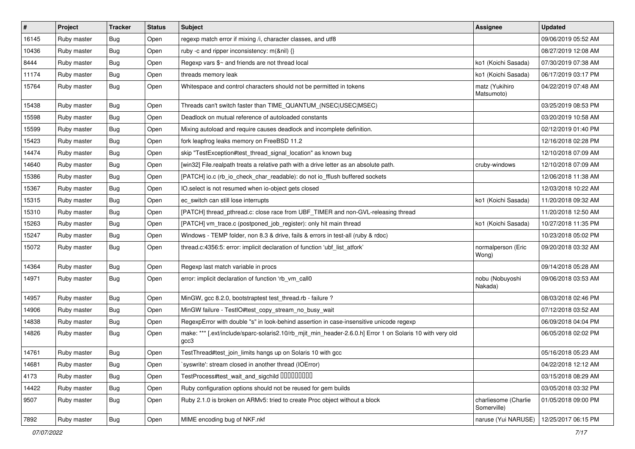| #     | Project     | <b>Tracker</b> | <b>Status</b> | Subject                                                                                                           | <b>Assignee</b>                     | <b>Updated</b>      |
|-------|-------------|----------------|---------------|-------------------------------------------------------------------------------------------------------------------|-------------------------------------|---------------------|
| 16145 | Ruby master | Bug            | Open          | regexp match error if mixing /i, character classes, and utf8                                                      |                                     | 09/06/2019 05:52 AM |
| 10436 | Ruby master | Bug            | Open          | ruby -c and ripper inconsistency: m(&nil) {}                                                                      |                                     | 08/27/2019 12:08 AM |
| 8444  | Ruby master | <b>Bug</b>     | Open          | Regexp vars \$~ and friends are not thread local                                                                  | ko1 (Koichi Sasada)                 | 07/30/2019 07:38 AM |
| 11174 | Ruby master | <b>Bug</b>     | Open          | threads memory leak                                                                                               | ko1 (Koichi Sasada)                 | 06/17/2019 03:17 PM |
| 15764 | Ruby master | Bug            | Open          | Whitespace and control characters should not be permitted in tokens                                               | matz (Yukihiro<br>Matsumoto)        | 04/22/2019 07:48 AM |
| 15438 | Ruby master | Bug            | Open          | Threads can't switch faster than TIME_QUANTUM_(NSEC USEC MSEC)                                                    |                                     | 03/25/2019 08:53 PM |
| 15598 | Ruby master | <b>Bug</b>     | Open          | Deadlock on mutual reference of autoloaded constants                                                              |                                     | 03/20/2019 10:58 AM |
| 15599 | Ruby master | <b>Bug</b>     | Open          | Mixing autoload and require causes deadlock and incomplete definition.                                            |                                     | 02/12/2019 01:40 PM |
| 15423 | Ruby master | Bug            | Open          | fork leapfrog leaks memory on FreeBSD 11.2                                                                        |                                     | 12/16/2018 02:28 PM |
| 14474 | Ruby master | <b>Bug</b>     | Open          | skip "TestException#test_thread_signal_location" as known bug                                                     |                                     | 12/10/2018 07:09 AM |
| 14640 | Ruby master | Bug            | Open          | [win32] File.realpath treats a relative path with a drive letter as an absolute path.                             | cruby-windows                       | 12/10/2018 07:09 AM |
| 15386 | Ruby master | Bug            | Open          | [PATCH] io.c (rb_io_check_char_readable): do not io_fflush buffered sockets                                       |                                     | 12/06/2018 11:38 AM |
| 15367 | Ruby master | Bug            | Open          | IO.select is not resumed when io-object gets closed                                                               |                                     | 12/03/2018 10:22 AM |
| 15315 | Ruby master | Bug            | Open          | ec_switch can still lose interrupts                                                                               | ko1 (Koichi Sasada)                 | 11/20/2018 09:32 AM |
| 15310 | Ruby master | <b>Bug</b>     | Open          | [PATCH] thread_pthread.c: close race from UBF_TIMER and non-GVL-releasing thread                                  |                                     | 11/20/2018 12:50 AM |
| 15263 | Ruby master | <b>Bug</b>     | Open          | [PATCH] vm_trace.c (postponed_job_register): only hit main thread                                                 | ko1 (Koichi Sasada)                 | 10/27/2018 11:35 PM |
| 15247 | Ruby master | Bug            | Open          | Windows - TEMP folder, non 8.3 & drive, fails & errors in test-all (ruby & rdoc)                                  |                                     | 10/23/2018 05:02 PM |
| 15072 | Ruby master | Bug            | Open          | thread.c:4356:5: error: implicit declaration of function 'ubf_list_atfork'                                        | normalperson (Eric<br>Wong)         | 09/20/2018 03:32 AM |
| 14364 | Ruby master | Bug            | Open          | Regexp last match variable in procs                                                                               |                                     | 09/14/2018 05:28 AM |
| 14971 | Ruby master | Bug            | Open          | error: implicit declaration of function 'rb_vm_call0                                                              | nobu (Nobuyoshi<br>Nakada)          | 09/06/2018 03:53 AM |
| 14957 | Ruby master | Bug            | Open          | MinGW, gcc 8.2.0, bootstraptest test_thread.rb - failure ?                                                        |                                     | 08/03/2018 02:46 PM |
| 14906 | Ruby master | <b>Bug</b>     | Open          | MinGW failure - TestIO#test_copy_stream_no_busy_wait                                                              |                                     | 07/12/2018 03:52 AM |
| 14838 | Ruby master | Bug            | Open          | RegexpError with double "s" in look-behind assertion in case-insensitive unicode regexp                           |                                     | 06/09/2018 04:04 PM |
| 14826 | Ruby master | Bug            | Open          | make: *** [.ext/include/sparc-solaris2.10/rb_mjit_min_header-2.6.0.h] Error 1 on Solaris 10 with very old<br>gcc3 |                                     | 06/05/2018 02:02 PM |
| 14761 | Ruby master | Bug            | Open          | TestThread#test join limits hangs up on Solaris 10 with gcc                                                       |                                     | 05/16/2018 05:23 AM |
| 14681 | Ruby master | <b>Bug</b>     | Open          | 'syswrite': stream closed in another thread (IOError)                                                             |                                     | 04/22/2018 12:12 AM |
| 4173  | Ruby master | <b>Bug</b>     | Open          | TestProcess#test_wait_and_sigchild DDDDDDDD                                                                       |                                     | 03/15/2018 08:29 AM |
| 14422 | Ruby master | <b>Bug</b>     | Open          | Ruby configuration options should not be reused for gem builds                                                    |                                     | 03/05/2018 03:32 PM |
| 9507  | Ruby master | Bug            | Open          | Ruby 2.1.0 is broken on ARMv5: tried to create Proc object without a block                                        | charliesome (Charlie<br>Somerville) | 01/05/2018 09:00 PM |
| 7892  | Ruby master | <b>Bug</b>     | Open          | MIME encoding bug of NKF.nkf                                                                                      | naruse (Yui NARUSE)                 | 12/25/2017 06:15 PM |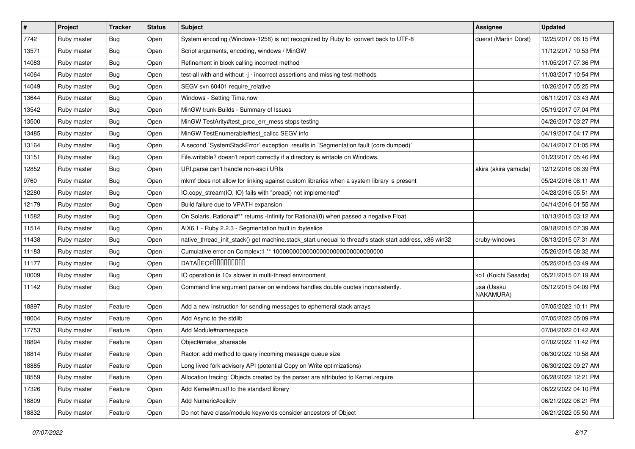| $\pmb{\#}$ | Project     | <b>Tracker</b> | <b>Status</b> | Subject                                                                                               | <b>Assignee</b>         | <b>Updated</b>      |
|------------|-------------|----------------|---------------|-------------------------------------------------------------------------------------------------------|-------------------------|---------------------|
| 7742       | Ruby master | <b>Bug</b>     | Open          | System encoding (Windows-1258) is not recognized by Ruby to convert back to UTF-8                     | duerst (Martin Dürst)   | 12/25/2017 06:15 PM |
| 13571      | Ruby master | Bug            | Open          | Script arguments, encoding, windows / MinGW                                                           |                         | 11/12/2017 10:53 PM |
| 14083      | Ruby master | Bug            | Open          | Refinement in block calling incorrect method                                                          |                         | 11/05/2017 07:36 PM |
| 14064      | Ruby master | Bug            | Open          | test-all with and without -j - incorrect assertions and missing test methods                          |                         | 11/03/2017 10:54 PM |
| 14049      | Ruby master | Bug            | Open          | SEGV svn 60401 require_relative                                                                       |                         | 10/26/2017 05:25 PM |
| 13644      | Ruby master | <b>Bug</b>     | Open          | Windows - Setting Time.now                                                                            |                         | 06/11/2017 03:43 AM |
| 13542      | Ruby master | Bug            | Open          | MinGW trunk Builds - Summary of Issues                                                                |                         | 05/19/2017 07:04 PM |
| 13500      | Ruby master | <b>Bug</b>     | Open          | MinGW TestArity#test_proc_err_mess stops testing                                                      |                         | 04/26/2017 03:27 PM |
| 13485      | Ruby master | Bug            | Open          | MinGW TestEnumerable#test_callcc SEGV info                                                            |                         | 04/19/2017 04:17 PM |
| 13164      | Ruby master | Bug            | Open          | A second `SystemStackError` exception results in `Segmentation fault (core dumped)`                   |                         | 04/14/2017 01:05 PM |
| 13151      | Ruby master | <b>Bug</b>     | Open          | File.writable? doesn't report correctly if a directory is writable on Windows.                        |                         | 01/23/2017 05:46 PM |
| 12852      | Ruby master | Bug            | Open          | URI.parse can't handle non-ascii URIs                                                                 | akira (akira yamada)    | 12/12/2016 06:39 PM |
| 9760       | Ruby master | Bug            | Open          | mkmf does not allow for linking against custom libraries when a system library is present             |                         | 05/24/2016 08:11 AM |
| 12280      | Ruby master | Bug            | Open          | IO.copy_stream(IO, IO) fails with "pread() not implemented"                                           |                         | 04/28/2016 05:51 AM |
| 12179      | Ruby master | Bug            | Open          | Build failure due to VPATH expansion                                                                  |                         | 04/14/2016 01:55 AM |
| 11582      | Ruby master | Bug            | Open          | On Solaris, Rational#** returns -Infinity for Rational(0) when passed a negative Float                |                         | 10/13/2015 03:12 AM |
| 11514      | Ruby master | <b>Bug</b>     | Open          | AIX6.1 - Ruby 2.2.3 - Segmentation fault in :byteslice                                                |                         | 09/18/2015 07:39 AM |
| 11438      | Ruby master | Bug            | Open          | native_thread_init_stack() get machine.stack_start unequal to thread's stack start address, x86 win32 | cruby-windows           | 08/13/2015 07:31 AM |
| 11183      | Ruby master | <b>Bug</b>     | Open          |                                                                                                       |                         | 05/26/2015 08:32 AM |
| 11177      | Ruby master | Bug            | Open          | <b>DATADEOFOOOOOOOO</b>                                                                               |                         | 05/25/2015 03:49 AM |
| 10009      | Ruby master | <b>Bug</b>     | Open          | IO operation is 10x slower in multi-thread environment                                                | ko1 (Koichi Sasada)     | 05/21/2015 07:19 AM |
| 11142      | Ruby master | Bug            | Open          | Command line argument parser on windows handles double quotes inconsistently.                         | usa (Usaku<br>NAKAMURA) | 05/12/2015 04:09 PM |
| 18897      | Ruby master | Feature        | Open          | Add a new instruction for sending messages to ephemeral stack arrays                                  |                         | 07/05/2022 10:11 PM |
| 18004      | Ruby master | Feature        | Open          | Add Async to the stdlib                                                                               |                         | 07/05/2022 05:09 PM |
| 17753      | Ruby master | Feature        | Open          | Add Module#namespace                                                                                  |                         | 07/04/2022 01:42 AM |
| 18894      | Ruby master | Feature        | Open          | Object#make_shareable                                                                                 |                         | 07/02/2022 11:42 PM |
| 18814      | Ruby master | Feature        | Open          | Ractor: add method to query incoming message queue size                                               |                         | 06/30/2022 10:58 AM |
| 18885      | Ruby master | Feature        | Open          | Long lived fork advisory API (potential Copy on Write optimizations)                                  |                         | 06/30/2022 09:27 AM |
| 18559      | Ruby master | Feature        | Open          | Allocation tracing: Objects created by the parser are attributed to Kernel.require                    |                         | 06/28/2022 12:21 PM |
| 17326      | Ruby master | Feature        | Open          | Add Kernel#must! to the standard library                                                              |                         | 06/22/2022 04:10 PM |
| 18809      | Ruby master | Feature        | Open          | Add Numeric#ceildiv                                                                                   |                         | 06/21/2022 06:21 PM |
| 18832      | Ruby master | Feature        | Open          | Do not have class/module keywords consider ancestors of Object                                        |                         | 06/21/2022 05:50 AM |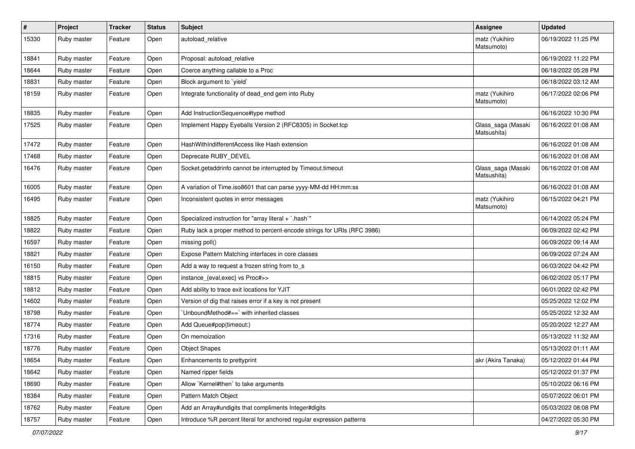| $\vert$ # | Project     | <b>Tracker</b> | <b>Status</b> | Subject                                                                 | <b>Assignee</b>                   | <b>Updated</b>      |
|-----------|-------------|----------------|---------------|-------------------------------------------------------------------------|-----------------------------------|---------------------|
| 15330     | Ruby master | Feature        | Open          | autoload_relative                                                       | matz (Yukihiro<br>Matsumoto)      | 06/19/2022 11:25 PM |
| 18841     | Ruby master | Feature        | Open          | Proposal: autoload relative                                             |                                   | 06/19/2022 11:22 PM |
| 18644     | Ruby master | Feature        | Open          | Coerce anything callable to a Proc                                      |                                   | 06/18/2022 05:28 PM |
| 18831     | Ruby master | Feature        | Open          | Block argument to 'yield'                                               |                                   | 06/18/2022 03:12 AM |
| 18159     | Ruby master | Feature        | Open          | Integrate functionality of dead_end gem into Ruby                       | matz (Yukihiro<br>Matsumoto)      | 06/17/2022 02:06 PM |
| 18835     | Ruby master | Feature        | Open          | Add InstructionSequence#type method                                     |                                   | 06/16/2022 10:30 PM |
| 17525     | Ruby master | Feature        | Open          | Implement Happy Eyeballs Version 2 (RFC8305) in Socket.tcp              | Glass_saga (Masaki<br>Matsushita) | 06/16/2022 01:08 AM |
| 17472     | Ruby master | Feature        | Open          | HashWithIndifferentAccess like Hash extension                           |                                   | 06/16/2022 01:08 AM |
| 17468     | Ruby master | Feature        | Open          | Deprecate RUBY_DEVEL                                                    |                                   | 06/16/2022 01:08 AM |
| 16476     | Ruby master | Feature        | Open          | Socket.getaddrinfo cannot be interrupted by Timeout.timeout             | Glass_saga (Masaki<br>Matsushita) | 06/16/2022 01:08 AM |
| 16005     | Ruby master | Feature        | Open          | A variation of Time.iso8601 that can parse yyyy-MM-dd HH:mm:ss          |                                   | 06/16/2022 01:08 AM |
| 16495     | Ruby master | Feature        | Open          | Inconsistent quotes in error messages                                   | matz (Yukihiro<br>Matsumoto)      | 06/15/2022 04:21 PM |
| 18825     | Ruby master | Feature        | Open          | Specialized instruction for "array literal + `.hash`"                   |                                   | 06/14/2022 05:24 PM |
| 18822     | Ruby master | Feature        | Open          | Ruby lack a proper method to percent-encode strings for URIs (RFC 3986) |                                   | 06/09/2022 02:42 PM |
| 16597     | Ruby master | Feature        | Open          | missing poll()                                                          |                                   | 06/09/2022 09:14 AM |
| 18821     | Ruby master | Feature        | Open          | Expose Pattern Matching interfaces in core classes                      |                                   | 06/09/2022 07:24 AM |
| 16150     | Ruby master | Feature        | Open          | Add a way to request a frozen string from to_s                          |                                   | 06/03/2022 04:42 PM |
| 18815     | Ruby master | Feature        | Open          | instance_{eval,exec} vs Proc#>>                                         |                                   | 06/02/2022 05:17 PM |
| 18812     | Ruby master | Feature        | Open          | Add ability to trace exit locations for YJIT                            |                                   | 06/01/2022 02:42 PM |
| 14602     | Ruby master | Feature        | Open          | Version of dig that raises error if a key is not present                |                                   | 05/25/2022 12:02 PM |
| 18798     | Ruby master | Feature        | Open          | UnboundMethod#==`with inherited classes                                 |                                   | 05/25/2022 12:32 AM |
| 18774     | Ruby master | Feature        | Open          | Add Queue#pop(timeout:)                                                 |                                   | 05/20/2022 12:27 AM |
| 17316     | Ruby master | Feature        | Open          | On memoization                                                          |                                   | 05/13/2022 11:32 AM |
| 18776     | Ruby master | Feature        | Open          | <b>Object Shapes</b>                                                    |                                   | 05/13/2022 01:11 AM |
| 18654     | Ruby master | Feature        | Open          | Enhancements to prettyprint                                             | akr (Akira Tanaka)                | 05/12/2022 01:44 PM |
| 18642     | Ruby master | Feature        | Open          | Named ripper fields                                                     |                                   | 05/12/2022 01:37 PM |
| 18690     | Ruby master | Feature        | Open          | Allow `Kernel#then` to take arguments                                   |                                   | 05/10/2022 06:16 PM |
| 18384     | Ruby master | Feature        | Open          | Pattern Match Object                                                    |                                   | 05/07/2022 06:01 PM |
| 18762     | Ruby master | Feature        | Open          | Add an Array#undigits that compliments Integer#digits                   |                                   | 05/03/2022 08:08 PM |
| 18757     | Ruby master | Feature        | Open          | Introduce %R percent literal for anchored regular expression patterns   |                                   | 04/27/2022 05:30 PM |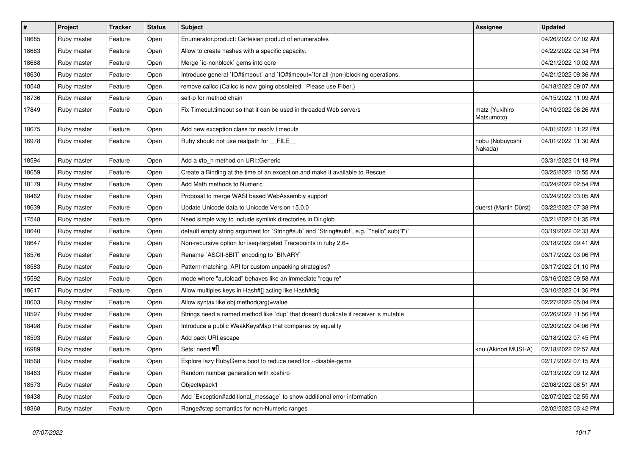| $\pmb{\#}$ | Project     | <b>Tracker</b> | <b>Status</b> | <b>Subject</b>                                                                            | <b>Assignee</b>              | <b>Updated</b>      |
|------------|-------------|----------------|---------------|-------------------------------------------------------------------------------------------|------------------------------|---------------------|
| 18685      | Ruby master | Feature        | Open          | Enumerator.product: Cartesian product of enumerables                                      |                              | 04/26/2022 07:02 AM |
| 18683      | Ruby master | Feature        | Open          | Allow to create hashes with a specific capacity.                                          |                              | 04/22/2022 02:34 PM |
| 18668      | Ruby master | Feature        | Open          | Merge `io-nonblock` gems into core                                                        |                              | 04/21/2022 10:02 AM |
| 18630      | Ruby master | Feature        | Open          | Introduce general `IO#timeout` and `IO#timeout=`for all (non-)blocking operations.        |                              | 04/21/2022 09:36 AM |
| 10548      | Ruby master | Feature        | Open          | remove callcc (Callcc is now going obsoleted. Please use Fiber.)                          |                              | 04/18/2022 09:07 AM |
| 18736      | Ruby master | Feature        | Open          | self-p for method chain                                                                   |                              | 04/15/2022 11:09 AM |
| 17849      | Ruby master | Feature        | Open          | Fix Timeout timeout so that it can be used in threaded Web servers                        | matz (Yukihiro<br>Matsumoto) | 04/10/2022 06:26 AM |
| 18675      | Ruby master | Feature        | Open          | Add new exception class for resolv timeouts                                               |                              | 04/01/2022 11:22 PM |
| 16978      | Ruby master | Feature        | Open          | Ruby should not use realpath for __FILE__                                                 | nobu (Nobuyoshi<br>Nakada)   | 04/01/2022 11:30 AM |
| 18594      | Ruby master | Feature        | Open          | Add a #to h method on URI:: Generic                                                       |                              | 03/31/2022 01:18 PM |
| 18659      | Ruby master | Feature        | Open          | Create a Binding at the time of an exception and make it available to Rescue              |                              | 03/25/2022 10:55 AM |
| 18179      | Ruby master | Feature        | Open          | Add Math methods to Numeric                                                               |                              | 03/24/2022 02:54 PM |
| 18462      | Ruby master | Feature        | Open          | Proposal to merge WASI based WebAssembly support                                          |                              | 03/24/2022 03:05 AM |
| 18639      | Ruby master | Feature        | Open          | Update Unicode data to Unicode Version 15.0.0                                             | duerst (Martin Dürst)        | 03/22/2022 07:38 PM |
| 17548      | Ruby master | Feature        | Open          | Need simple way to include symlink directories in Dir.glob                                |                              | 03/21/2022 01:35 PM |
| 18640      | Ruby master | Feature        | Open          | default empty string argument for `String#sub` and `String#sub!`, e.g. `"hello".sub("I")` |                              | 03/19/2022 02:33 AM |
| 18647      | Ruby master | Feature        | Open          | Non-recursive option for iseq-targeted Tracepoints in ruby 2.6+                           |                              | 03/18/2022 09:41 AM |
| 18576      | Ruby master | Feature        | Open          | Rename `ASCII-8BIT` encoding to `BINARY`                                                  |                              | 03/17/2022 03:06 PM |
| 18583      | Ruby master | Feature        | Open          | Pattern-matching: API for custom unpacking strategies?                                    |                              | 03/17/2022 01:10 PM |
| 15592      | Ruby master | Feature        | Open          | mode where "autoload" behaves like an immediate "require"                                 |                              | 03/16/2022 09:58 AM |
| 18617      | Ruby master | Feature        | Open          | Allow multiples keys in Hash#[] acting like Hash#dig                                      |                              | 03/10/2022 01:36 PM |
| 18603      | Ruby master | Feature        | Open          | Allow syntax like obj.method(arg)=value                                                   |                              | 02/27/2022 05:04 PM |
| 18597      | Ruby master | Feature        | Open          | Strings need a named method like 'dup' that doesn't duplicate if receiver is mutable      |                              | 02/26/2022 11:56 PM |
| 18498      | Ruby master | Feature        | Open          | Introduce a public WeakKeysMap that compares by equality                                  |                              | 02/20/2022 04:06 PM |
| 18593      | Ruby master | Feature        | Open          | Add back URI.escape                                                                       |                              | 02/18/2022 07:45 PM |
| 16989      | Ruby master | Feature        | Open          | Sets: need $\Psi$ .                                                                       | knu (Akinori MUSHA)          | 02/18/2022 02:57 AM |
| 18568      | Ruby master | Feature        | Open          | Explore lazy RubyGems boot to reduce need for --disable-gems                              |                              | 02/17/2022 07:15 AM |
| 18463      | Ruby master | Feature        | Open          | Random number generation with xoshiro                                                     |                              | 02/13/2022 09:12 AM |
| 18573      | Ruby master | Feature        | Open          | Object#pack1                                                                              |                              | 02/08/2022 08:51 AM |
| 18438      | Ruby master | Feature        | Open          | Add `Exception#additional message` to show additional error information                   |                              | 02/07/2022 02:55 AM |
| 18368      | Ruby master | Feature        | Open          | Range#step semantics for non-Numeric ranges                                               |                              | 02/02/2022 03:42 PM |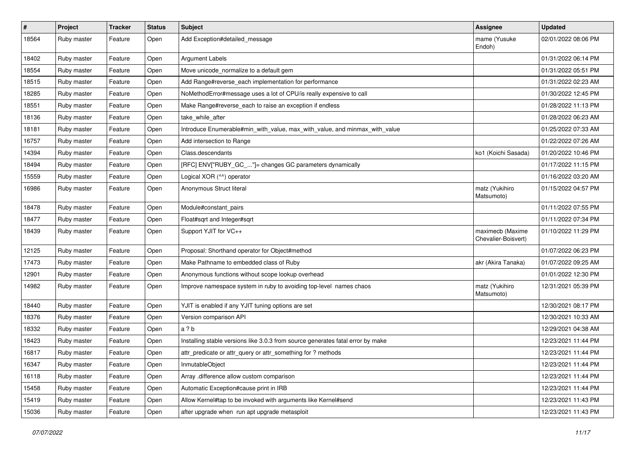| $\#$  | Project     | <b>Tracker</b> | <b>Status</b> | <b>Subject</b>                                                                  | <b>Assignee</b>                         | <b>Updated</b>      |
|-------|-------------|----------------|---------------|---------------------------------------------------------------------------------|-----------------------------------------|---------------------|
| 18564 | Ruby master | Feature        | Open          | Add Exception#detailed_message                                                  | mame (Yusuke<br>Endoh)                  | 02/01/2022 08:06 PM |
| 18402 | Ruby master | Feature        | Open          | Argument Labels                                                                 |                                         | 01/31/2022 06:14 PM |
| 18554 | Ruby master | Feature        | Open          | Move unicode_normalize to a default gem                                         |                                         | 01/31/2022 05:51 PM |
| 18515 | Ruby master | Feature        | Open          | Add Range#reverse_each implementation for performance                           |                                         | 01/31/2022 02:23 AM |
| 18285 | Ruby master | Feature        | Open          | NoMethodError#message uses a lot of CPU/is really expensive to call             |                                         | 01/30/2022 12:45 PM |
| 18551 | Ruby master | Feature        | Open          | Make Range#reverse_each to raise an exception if endless                        |                                         | 01/28/2022 11:13 PM |
| 18136 | Ruby master | Feature        | Open          | take_while_after                                                                |                                         | 01/28/2022 06:23 AM |
| 18181 | Ruby master | Feature        | Open          | Introduce Enumerable#min_with_value, max_with_value, and minmax_with_value      |                                         | 01/25/2022 07:33 AM |
| 16757 | Ruby master | Feature        | Open          | Add intersection to Range                                                       |                                         | 01/22/2022 07:26 AM |
| 14394 | Ruby master | Feature        | Open          | Class.descendants                                                               | ko1 (Koichi Sasada)                     | 01/20/2022 10:46 PM |
| 18494 | Ruby master | Feature        | Open          | [RFC] ENV["RUBY_GC_"]= changes GC parameters dynamically                        |                                         | 01/17/2022 11:15 PM |
| 15559 | Ruby master | Feature        | Open          | Logical XOR (^^) operator                                                       |                                         | 01/16/2022 03:20 AM |
| 16986 | Ruby master | Feature        | Open          | Anonymous Struct literal                                                        | matz (Yukihiro<br>Matsumoto)            | 01/15/2022 04:57 PM |
| 18478 | Ruby master | Feature        | Open          | Module#constant_pairs                                                           |                                         | 01/11/2022 07:55 PM |
| 18477 | Ruby master | Feature        | Open          | Float#sqrt and Integer#sqrt                                                     |                                         | 01/11/2022 07:34 PM |
| 18439 | Ruby master | Feature        | Open          | Support YJIT for VC++                                                           | maximecb (Maxime<br>Chevalier-Boisvert) | 01/10/2022 11:29 PM |
| 12125 | Ruby master | Feature        | Open          | Proposal: Shorthand operator for Object#method                                  |                                         | 01/07/2022 06:23 PM |
| 17473 | Ruby master | Feature        | Open          | Make Pathname to embedded class of Ruby                                         | akr (Akira Tanaka)                      | 01/07/2022 09:25 AM |
| 12901 | Ruby master | Feature        | Open          | Anonymous functions without scope lookup overhead                               |                                         | 01/01/2022 12:30 PM |
| 14982 | Ruby master | Feature        | Open          | Improve namespace system in ruby to avoiding top-level names chaos              | matz (Yukihiro<br>Matsumoto)            | 12/31/2021 05:39 PM |
| 18440 | Ruby master | Feature        | Open          | YJIT is enabled if any YJIT tuning options are set                              |                                         | 12/30/2021 08:17 PM |
| 18376 | Ruby master | Feature        | Open          | Version comparison API                                                          |                                         | 12/30/2021 10:33 AM |
| 18332 | Ruby master | Feature        | Open          | a ? b                                                                           |                                         | 12/29/2021 04:38 AM |
| 18423 | Ruby master | Feature        | Open          | Installing stable versions like 3.0.3 from source generates fatal error by make |                                         | 12/23/2021 11:44 PM |
| 16817 | Ruby master | Feature        | Open          | attr_predicate or attr_query or attr_something for ? methods                    |                                         | 12/23/2021 11:44 PM |
| 16347 | Ruby master | Feature        | Open          | InmutableObject                                                                 |                                         | 12/23/2021 11:44 PM |
| 16118 | Ruby master | Feature        | Open          | Array .difference allow custom comparison                                       |                                         | 12/23/2021 11:44 PM |
| 15458 | Ruby master | Feature        | Open          | Automatic Exception#cause print in IRB                                          |                                         | 12/23/2021 11:44 PM |
| 15419 | Ruby master | Feature        | Open          | Allow Kernel#tap to be invoked with arguments like Kernel#send                  |                                         | 12/23/2021 11:43 PM |
| 15036 | Ruby master | Feature        | Open          | after upgrade when run apt upgrade metasploit                                   |                                         | 12/23/2021 11:43 PM |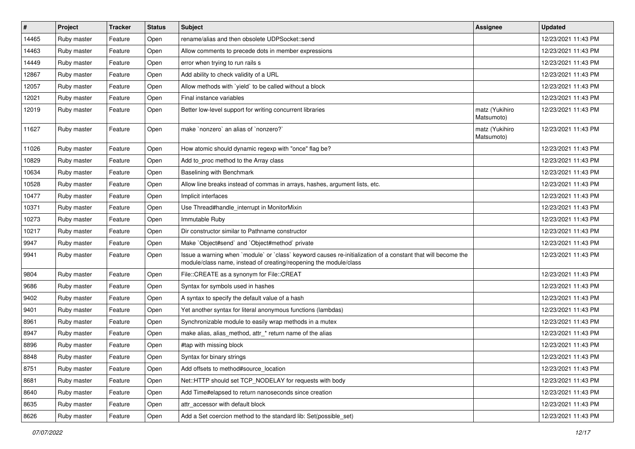| $\#$  | Project     | <b>Tracker</b> | <b>Status</b> | Subject                                                                                                                                                                           | <b>Assignee</b>              | <b>Updated</b>      |
|-------|-------------|----------------|---------------|-----------------------------------------------------------------------------------------------------------------------------------------------------------------------------------|------------------------------|---------------------|
| 14465 | Ruby master | Feature        | Open          | rename/alias and then obsolete UDPSocket::send                                                                                                                                    |                              | 12/23/2021 11:43 PM |
| 14463 | Ruby master | Feature        | Open          | Allow comments to precede dots in member expressions                                                                                                                              |                              | 12/23/2021 11:43 PM |
| 14449 | Ruby master | Feature        | Open          | error when trying to run rails s                                                                                                                                                  |                              | 12/23/2021 11:43 PM |
| 12867 | Ruby master | Feature        | Open          | Add ability to check validity of a URL                                                                                                                                            |                              | 12/23/2021 11:43 PM |
| 12057 | Ruby master | Feature        | Open          | Allow methods with 'yield' to be called without a block                                                                                                                           |                              | 12/23/2021 11:43 PM |
| 12021 | Ruby master | Feature        | Open          | Final instance variables                                                                                                                                                          |                              | 12/23/2021 11:43 PM |
| 12019 | Ruby master | Feature        | Open          | Better low-level support for writing concurrent libraries                                                                                                                         | matz (Yukihiro<br>Matsumoto) | 12/23/2021 11:43 PM |
| 11627 | Ruby master | Feature        | Open          | make `nonzero` an alias of `nonzero?`                                                                                                                                             | matz (Yukihiro<br>Matsumoto) | 12/23/2021 11:43 PM |
| 11026 | Ruby master | Feature        | Open          | How atomic should dynamic regexp with "once" flag be?                                                                                                                             |                              | 12/23/2021 11:43 PM |
| 10829 | Ruby master | Feature        | Open          | Add to proc method to the Array class                                                                                                                                             |                              | 12/23/2021 11:43 PM |
| 10634 | Ruby master | Feature        | Open          | Baselining with Benchmark                                                                                                                                                         |                              | 12/23/2021 11:43 PM |
| 10528 | Ruby master | Feature        | Open          | Allow line breaks instead of commas in arrays, hashes, argument lists, etc.                                                                                                       |                              | 12/23/2021 11:43 PM |
| 10477 | Ruby master | Feature        | Open          | Implicit interfaces                                                                                                                                                               |                              | 12/23/2021 11:43 PM |
| 10371 | Ruby master | Feature        | Open          | Use Thread#handle interrupt in MonitorMixin                                                                                                                                       |                              | 12/23/2021 11:43 PM |
| 10273 | Ruby master | Feature        | Open          | Immutable Ruby                                                                                                                                                                    |                              | 12/23/2021 11:43 PM |
| 10217 | Ruby master | Feature        | Open          | Dir constructor similar to Pathname constructor                                                                                                                                   |                              | 12/23/2021 11:43 PM |
| 9947  | Ruby master | Feature        | Open          | Make `Object#send` and `Object#method` private                                                                                                                                    |                              | 12/23/2021 11:43 PM |
| 9941  | Ruby master | Feature        | Open          | Issue a warning when `module` or `class` keyword causes re-initialization of a constant that will become the<br>module/class name, instead of creating/reopening the module/class |                              | 12/23/2021 11:43 PM |
| 9804  | Ruby master | Feature        | Open          | File::CREATE as a synonym for File::CREAT                                                                                                                                         |                              | 12/23/2021 11:43 PM |
| 9686  | Ruby master | Feature        | Open          | Syntax for symbols used in hashes                                                                                                                                                 |                              | 12/23/2021 11:43 PM |
| 9402  | Ruby master | Feature        | Open          | A syntax to specify the default value of a hash                                                                                                                                   |                              | 12/23/2021 11:43 PM |
| 9401  | Ruby master | Feature        | Open          | Yet another syntax for literal anonymous functions (lambdas)                                                                                                                      |                              | 12/23/2021 11:43 PM |
| 8961  | Ruby master | Feature        | Open          | Synchronizable module to easily wrap methods in a mutex                                                                                                                           |                              | 12/23/2021 11:43 PM |
| 8947  | Ruby master | Feature        | Open          | make alias, alias_method, attr_* return name of the alias                                                                                                                         |                              | 12/23/2021 11:43 PM |
| 8896  | Ruby master | Feature        | Open          | #tap with missing block                                                                                                                                                           |                              | 12/23/2021 11:43 PM |
| 8848  | Ruby master | Feature        | Open          | Syntax for binary strings                                                                                                                                                         |                              | 12/23/2021 11:43 PM |
| 8751  | Ruby master | Feature        | Open          | Add offsets to method#source location                                                                                                                                             |                              | 12/23/2021 11:43 PM |
| 8681  | Ruby master | Feature        | Open          | Net::HTTP should set TCP_NODELAY for requests with body                                                                                                                           |                              | 12/23/2021 11:43 PM |
| 8640  | Ruby master | Feature        | Open          | Add Time#elapsed to return nanoseconds since creation                                                                                                                             |                              | 12/23/2021 11:43 PM |
| 8635  | Ruby master | Feature        | Open          | attr_accessor with default block                                                                                                                                                  |                              | 12/23/2021 11:43 PM |
| 8626  | Ruby master | Feature        | Open          | Add a Set coercion method to the standard lib: Set (possible set)                                                                                                                 |                              | 12/23/2021 11:43 PM |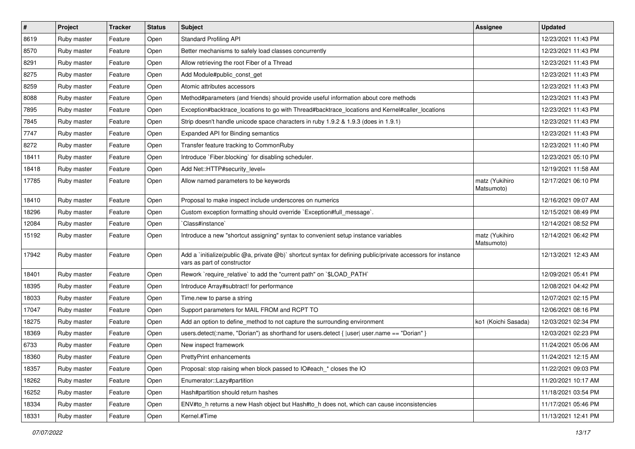| $\vert$ # | Project     | <b>Tracker</b> | <b>Status</b> | <b>Subject</b>                                                                                                                              | <b>Assignee</b>              | <b>Updated</b>      |
|-----------|-------------|----------------|---------------|---------------------------------------------------------------------------------------------------------------------------------------------|------------------------------|---------------------|
| 8619      | Ruby master | Feature        | Open          | <b>Standard Profiling API</b>                                                                                                               |                              | 12/23/2021 11:43 PM |
| 8570      | Ruby master | Feature        | Open          | Better mechanisms to safely load classes concurrently                                                                                       |                              | 12/23/2021 11:43 PM |
| 8291      | Ruby master | Feature        | Open          | Allow retrieving the root Fiber of a Thread                                                                                                 |                              | 12/23/2021 11:43 PM |
| 8275      | Ruby master | Feature        | Open          | Add Module#public_const_get                                                                                                                 |                              | 12/23/2021 11:43 PM |
| 8259      | Ruby master | Feature        | Open          | Atomic attributes accessors                                                                                                                 |                              | 12/23/2021 11:43 PM |
| 8088      | Ruby master | Feature        | Open          | Method#parameters (and friends) should provide useful information about core methods                                                        |                              | 12/23/2021 11:43 PM |
| 7895      | Ruby master | Feature        | Open          | Exception#backtrace_locations to go with Thread#backtrace_locations and Kernel#caller_locations                                             |                              | 12/23/2021 11:43 PM |
| 7845      | Ruby master | Feature        | Open          | Strip doesn't handle unicode space characters in ruby 1.9.2 & 1.9.3 (does in 1.9.1)                                                         |                              | 12/23/2021 11:43 PM |
| 7747      | Ruby master | Feature        | Open          | Expanded API for Binding semantics                                                                                                          |                              | 12/23/2021 11:43 PM |
| 8272      | Ruby master | Feature        | Open          | Transfer feature tracking to CommonRuby                                                                                                     |                              | 12/23/2021 11:40 PM |
| 18411     | Ruby master | Feature        | Open          | Introduce `Fiber.blocking` for disabling scheduler.                                                                                         |                              | 12/23/2021 05:10 PM |
| 18418     | Ruby master | Feature        | Open          | Add Net::HTTP#security_level=                                                                                                               |                              | 12/19/2021 11:58 AM |
| 17785     | Ruby master | Feature        | Open          | Allow named parameters to be keywords                                                                                                       | matz (Yukihiro<br>Matsumoto) | 12/17/2021 06:10 PM |
| 18410     | Ruby master | Feature        | Open          | Proposal to make inspect include underscores on numerics                                                                                    |                              | 12/16/2021 09:07 AM |
| 18296     | Ruby master | Feature        | Open          | Custom exception formatting should override `Exception#full_message`.                                                                       |                              | 12/15/2021 08:49 PM |
| 12084     | Ruby master | Feature        | Open          | Class#instance                                                                                                                              |                              | 12/14/2021 08:52 PM |
| 15192     | Ruby master | Feature        | Open          | Introduce a new "shortcut assigning" syntax to convenient setup instance variables                                                          | matz (Yukihiro<br>Matsumoto) | 12/14/2021 06:42 PM |
| 17942     | Ruby master | Feature        | Open          | Add a `initialize(public @a, private @b)` shortcut syntax for defining public/private accessors for instance<br>vars as part of constructor |                              | 12/13/2021 12:43 AM |
| 18401     | Ruby master | Feature        | Open          | Rework `require_relative` to add the "current path" on `\$LOAD_PATH`                                                                        |                              | 12/09/2021 05:41 PM |
| 18395     | Ruby master | Feature        | Open          | Introduce Array#subtract! for performance                                                                                                   |                              | 12/08/2021 04:42 PM |
| 18033     | Ruby master | Feature        | Open          | Time.new to parse a string                                                                                                                  |                              | 12/07/2021 02:15 PM |
| 17047     | Ruby master | Feature        | Open          | Support parameters for MAIL FROM and RCPT TO                                                                                                |                              | 12/06/2021 08:16 PM |
| 18275     | Ruby master | Feature        | Open          | Add an option to define_method to not capture the surrounding environment                                                                   | ko1 (Koichi Sasada)          | 12/03/2021 02:34 PM |
| 18369     | Ruby master | Feature        | Open          | users.detect(:name, "Dorian") as shorthand for users.detect { $ user $ user.name == "Dorian" }                                              |                              | 12/03/2021 02:23 PM |
| 6733      | Ruby master | Feature        | Open          | New inspect framework                                                                                                                       |                              | 11/24/2021 05:06 AM |
| 18360     | Ruby master | Feature        | Open          | <b>PrettyPrint enhancements</b>                                                                                                             |                              | 11/24/2021 12:15 AM |
| 18357     | Ruby master | Feature        | Open          | Proposal: stop raising when block passed to IO#each_* closes the IO                                                                         |                              | 11/22/2021 09:03 PM |
| 18262     | Ruby master | Feature        | Open          | Enumerator::Lazy#partition                                                                                                                  |                              | 11/20/2021 10:17 AM |
| 16252     | Ruby master | Feature        | Open          | Hash#partition should return hashes                                                                                                         |                              | 11/18/2021 03:54 PM |
| 18334     | Ruby master | Feature        | Open          | ENV#to_h returns a new Hash object but Hash#to_h does not, which can cause inconsistencies                                                  |                              | 11/17/2021 05:46 PM |
| 18331     | Ruby master | Feature        | Open          | Kernel.#Time                                                                                                                                |                              | 11/13/2021 12:41 PM |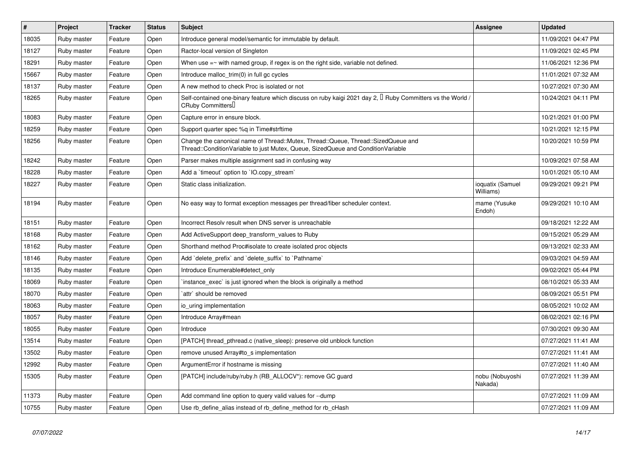| $\sharp$ | <b>Project</b> | <b>Tracker</b> | <b>Status</b> | <b>Subject</b>                                                                                                                                                        | Assignee                      | <b>Updated</b>      |
|----------|----------------|----------------|---------------|-----------------------------------------------------------------------------------------------------------------------------------------------------------------------|-------------------------------|---------------------|
| 18035    | Ruby master    | Feature        | Open          | Introduce general model/semantic for immutable by default.                                                                                                            |                               | 11/09/2021 04:47 PM |
| 18127    | Ruby master    | Feature        | Open          | Ractor-local version of Singleton                                                                                                                                     |                               | 11/09/2021 02:45 PM |
| 18291    | Ruby master    | Feature        | Open          | When use $=$ $\sim$ with named group, if regex is on the right side, variable not defined.                                                                            |                               | 11/06/2021 12:36 PM |
| 15667    | Ruby master    | Feature        | Open          | Introduce malloc trim(0) in full gc cycles                                                                                                                            |                               | 11/01/2021 07:32 AM |
| 18137    | Ruby master    | Feature        | Open          | A new method to check Proc is isolated or not                                                                                                                         |                               | 10/27/2021 07:30 AM |
| 18265    | Ruby master    | Feature        | Open          | Self-contained one-binary feature which discuss on ruby kaigi 2021 day 2, $\Box$ Ruby Committers vs the World /<br>CRuby CommittersU                                  |                               | 10/24/2021 04:11 PM |
| 18083    | Ruby master    | Feature        | Open          | Capture error in ensure block.                                                                                                                                        |                               | 10/21/2021 01:00 PM |
| 18259    | Ruby master    | Feature        | Open          | Support quarter spec %q in Time#strftime                                                                                                                              |                               | 10/21/2021 12:15 PM |
| 18256    | Ruby master    | Feature        | Open          | Change the canonical name of Thread::Mutex, Thread::Queue, Thread::SizedQueue and<br>Thread::ConditionVariable to just Mutex, Queue, SizedQueue and ConditionVariable |                               | 10/20/2021 10:59 PM |
| 18242    | Ruby master    | Feature        | Open          | Parser makes multiple assignment sad in confusing way                                                                                                                 |                               | 10/09/2021 07:58 AM |
| 18228    | Ruby master    | Feature        | Open          | Add a 'timeout' option to 'IO.copy_stream'                                                                                                                            |                               | 10/01/2021 05:10 AM |
| 18227    | Ruby master    | Feature        | Open          | Static class initialization.                                                                                                                                          | ioquatix (Samuel<br>Williams) | 09/29/2021 09:21 PM |
| 18194    | Ruby master    | Feature        | Open          | No easy way to format exception messages per thread/fiber scheduler context.                                                                                          | mame (Yusuke<br>Endoh)        | 09/29/2021 10:10 AM |
| 18151    | Ruby master    | Feature        | Open          | Incorrect Resolv result when DNS server is unreachable                                                                                                                |                               | 09/18/2021 12:22 AM |
| 18168    | Ruby master    | Feature        | Open          | Add ActiveSupport deep_transform_values to Ruby                                                                                                                       |                               | 09/15/2021 05:29 AM |
| 18162    | Ruby master    | Feature        | Open          | Shorthand method Proc#isolate to create isolated proc objects                                                                                                         |                               | 09/13/2021 02:33 AM |
| 18146    | Ruby master    | Feature        | Open          | Add `delete_prefix` and `delete_suffix` to `Pathname`                                                                                                                 |                               | 09/03/2021 04:59 AM |
| 18135    | Ruby master    | Feature        | Open          | Introduce Enumerable#detect_only                                                                                                                                      |                               | 09/02/2021 05:44 PM |
| 18069    | Ruby master    | Feature        | Open          | instance_exec` is just ignored when the block is originally a method                                                                                                  |                               | 08/10/2021 05:33 AM |
| 18070    | Ruby master    | Feature        | Open          | attr' should be removed                                                                                                                                               |                               | 08/09/2021 05:51 PM |
| 18063    | Ruby master    | Feature        | Open          | io uring implementation                                                                                                                                               |                               | 08/05/2021 10:02 AM |
| 18057    | Ruby master    | Feature        | Open          | Introduce Array#mean                                                                                                                                                  |                               | 08/02/2021 02:16 PM |
| 18055    | Ruby master    | Feature        | Open          | Introduce                                                                                                                                                             |                               | 07/30/2021 09:30 AM |
| 13514    | Ruby master    | Feature        | Open          | [PATCH] thread_pthread.c (native_sleep): preserve old unblock function                                                                                                |                               | 07/27/2021 11:41 AM |
| 13502    | Ruby master    | Feature        | Open          | remove unused Array#to s implementation                                                                                                                               |                               | 07/27/2021 11:41 AM |
| 12992    | Ruby master    | Feature        | Open          | ArgumentError if hostname is missing                                                                                                                                  |                               | 07/27/2021 11:40 AM |
| 15305    | Ruby master    | Feature        | Open          | [PATCH] include/ruby/ruby.h (RB_ALLOCV*): remove GC guard                                                                                                             | nobu (Nobuyoshi<br>Nakada)    | 07/27/2021 11:39 AM |
| 11373    | Ruby master    | Feature        | Open          | Add command line option to query valid values for --dump                                                                                                              |                               | 07/27/2021 11:09 AM |
| 10755    | Ruby master    | Feature        | Open          | Use rb define alias instead of rb define method for rb cHash                                                                                                          |                               | 07/27/2021 11:09 AM |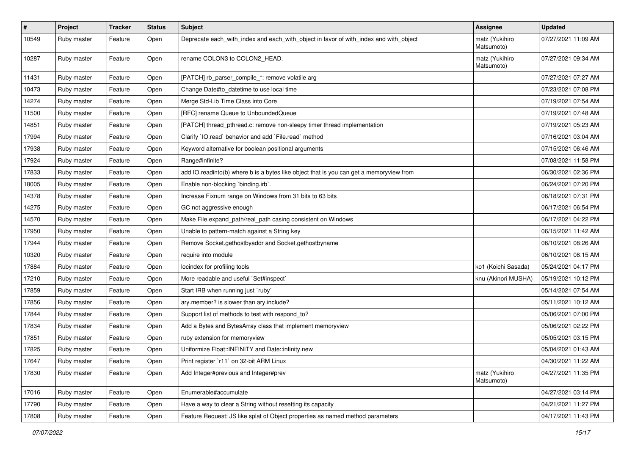| $\pmb{\#}$ | Project     | <b>Tracker</b> | <b>Status</b> | Subject                                                                                 | <b>Assignee</b>              | <b>Updated</b>      |
|------------|-------------|----------------|---------------|-----------------------------------------------------------------------------------------|------------------------------|---------------------|
| 10549      | Ruby master | Feature        | Open          | Deprecate each_with_index and each_with_object in favor of with_index and with_object   | matz (Yukihiro<br>Matsumoto) | 07/27/2021 11:09 AM |
| 10287      | Ruby master | Feature        | Open          | rename COLON3 to COLON2_HEAD.                                                           | matz (Yukihiro<br>Matsumoto) | 07/27/2021 09:34 AM |
| 11431      | Ruby master | Feature        | Open          | [PATCH] rb_parser_compile_*: remove volatile arg                                        |                              | 07/27/2021 07:27 AM |
| 10473      | Ruby master | Feature        | Open          | Change Date#to_datetime to use local time                                               |                              | 07/23/2021 07:08 PM |
| 14274      | Ruby master | Feature        | Open          | Merge Std-Lib Time Class into Core                                                      |                              | 07/19/2021 07:54 AM |
| 11500      | Ruby master | Feature        | Open          | [RFC] rename Queue to UnboundedQueue                                                    |                              | 07/19/2021 07:48 AM |
| 14851      | Ruby master | Feature        | Open          | [PATCH] thread_pthread.c: remove non-sleepy timer thread implementation                 |                              | 07/19/2021 05:23 AM |
| 17994      | Ruby master | Feature        | Open          | Clarify `IO.read` behavior and add `File.read` method                                   |                              | 07/16/2021 03:04 AM |
| 17938      | Ruby master | Feature        | Open          | Keyword alternative for boolean positional arguments                                    |                              | 07/15/2021 06:46 AM |
| 17924      | Ruby master | Feature        | Open          | Range#infinite?                                                                         |                              | 07/08/2021 11:58 PM |
| 17833      | Ruby master | Feature        | Open          | add IO.readinto(b) where b is a bytes like object that is you can get a memoryview from |                              | 06/30/2021 02:36 PM |
| 18005      | Ruby master | Feature        | Open          | Enable non-blocking 'binding.irb'.                                                      |                              | 06/24/2021 07:20 PM |
| 14378      | Ruby master | Feature        | Open          | Increase Fixnum range on Windows from 31 bits to 63 bits                                |                              | 06/18/2021 07:31 PM |
| 14275      | Ruby master | Feature        | Open          | GC not aggressive enough                                                                |                              | 06/17/2021 06:54 PM |
| 14570      | Ruby master | Feature        | Open          | Make File.expand_path/real_path casing consistent on Windows                            |                              | 06/17/2021 04:22 PM |
| 17950      | Ruby master | Feature        | Open          | Unable to pattern-match against a String key                                            |                              | 06/15/2021 11:42 AM |
| 17944      | Ruby master | Feature        | Open          | Remove Socket.gethostbyaddr and Socket.gethostbyname                                    |                              | 06/10/2021 08:26 AM |
| 10320      | Ruby master | Feature        | Open          | require into module                                                                     |                              | 06/10/2021 08:15 AM |
| 17884      | Ruby master | Feature        | Open          | locindex for profiling tools                                                            | ko1 (Koichi Sasada)          | 05/24/2021 04:17 PM |
| 17210      | Ruby master | Feature        | Open          | More readable and useful `Set#inspect`                                                  | knu (Akinori MUSHA)          | 05/19/2021 10:12 PM |
| 17859      | Ruby master | Feature        | Open          | Start IRB when running just `ruby`                                                      |                              | 05/14/2021 07:54 AM |
| 17856      | Ruby master | Feature        | Open          | ary.member? is slower than ary.include?                                                 |                              | 05/11/2021 10:12 AM |
| 17844      | Ruby master | Feature        | Open          | Support list of methods to test with respond_to?                                        |                              | 05/06/2021 07:00 PM |
| 17834      | Ruby master | Feature        | Open          | Add a Bytes and BytesArray class that implement memoryview                              |                              | 05/06/2021 02:22 PM |
| 17851      | Ruby master | Feature        | Open          | ruby extension for memoryview                                                           |                              | 05/05/2021 03:15 PM |
| 17825      | Ruby master | Feature        | Open          | Uniformize Float:: INFINITY and Date:: infinity.new                                     |                              | 05/04/2021 01:43 AM |
| 17647      | Ruby master | Feature        | Open          | Print register `r11` on 32-bit ARM Linux                                                |                              | 04/30/2021 11:22 AM |
| 17830      | Ruby master | Feature        | Open          | Add Integer#previous and Integer#prev                                                   | matz (Yukihiro<br>Matsumoto) | 04/27/2021 11:35 PM |
| 17016      | Ruby master | Feature        | Open          | Enumerable#accumulate                                                                   |                              | 04/27/2021 03:14 PM |
| 17790      | Ruby master | Feature        | Open          | Have a way to clear a String without resetting its capacity                             |                              | 04/21/2021 11:27 PM |
| 17808      | Ruby master | Feature        | Open          | Feature Request: JS like splat of Object properties as named method parameters          |                              | 04/17/2021 11:43 PM |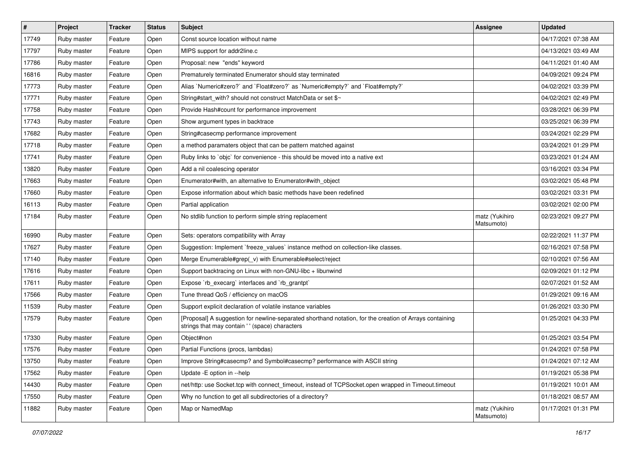| $\vert$ # | Project     | Tracker | <b>Status</b> | <b>Subject</b>                                                                                                                                            | <b>Assignee</b>              | <b>Updated</b>      |
|-----------|-------------|---------|---------------|-----------------------------------------------------------------------------------------------------------------------------------------------------------|------------------------------|---------------------|
| 17749     | Ruby master | Feature | Open          | Const source location without name                                                                                                                        |                              | 04/17/2021 07:38 AM |
| 17797     | Ruby master | Feature | Open          | MIPS support for addr2line.c                                                                                                                              |                              | 04/13/2021 03:49 AM |
| 17786     | Ruby master | Feature | Open          | Proposal: new "ends" keyword                                                                                                                              |                              | 04/11/2021 01:40 AM |
| 16816     | Ruby master | Feature | Open          | Prematurely terminated Enumerator should stay terminated                                                                                                  |                              | 04/09/2021 09:24 PM |
| 17773     | Ruby master | Feature | Open          | Alias `Numeric#zero?` and `Float#zero?` as `Numeric#empty?` and `Float#empty?`                                                                            |                              | 04/02/2021 03:39 PM |
| 17771     | Ruby master | Feature | Open          | String#start_with? should not construct MatchData or set \$~                                                                                              |                              | 04/02/2021 02:49 PM |
| 17758     | Ruby master | Feature | Open          | Provide Hash#count for performance improvement                                                                                                            |                              | 03/28/2021 06:39 PM |
| 17743     | Ruby master | Feature | Open          | Show argument types in backtrace                                                                                                                          |                              | 03/25/2021 06:39 PM |
| 17682     | Ruby master | Feature | Open          | String#casecmp performance improvement                                                                                                                    |                              | 03/24/2021 02:29 PM |
| 17718     | Ruby master | Feature | Open          | a method paramaters object that can be pattern matched against                                                                                            |                              | 03/24/2021 01:29 PM |
| 17741     | Ruby master | Feature | Open          | Ruby links to `objc` for convenience - this should be moved into a native ext                                                                             |                              | 03/23/2021 01:24 AM |
| 13820     | Ruby master | Feature | Open          | Add a nil coalescing operator                                                                                                                             |                              | 03/16/2021 03:34 PM |
| 17663     | Ruby master | Feature | Open          | Enumerator#with, an alternative to Enumerator#with_object                                                                                                 |                              | 03/02/2021 05:48 PM |
| 17660     | Ruby master | Feature | Open          | Expose information about which basic methods have been redefined                                                                                          |                              | 03/02/2021 03:31 PM |
| 16113     | Ruby master | Feature | Open          | Partial application                                                                                                                                       |                              | 03/02/2021 02:00 PM |
| 17184     | Ruby master | Feature | Open          | No stdlib function to perform simple string replacement                                                                                                   | matz (Yukihiro<br>Matsumoto) | 02/23/2021 09:27 PM |
| 16990     | Ruby master | Feature | Open          | Sets: operators compatibility with Array                                                                                                                  |                              | 02/22/2021 11:37 PM |
| 17627     | Ruby master | Feature | Open          | Suggestion: Implement `freeze_values` instance method on collection-like classes.                                                                         |                              | 02/16/2021 07:58 PM |
| 17140     | Ruby master | Feature | Open          | Merge Enumerable#grep(_v) with Enumerable#select/reject                                                                                                   |                              | 02/10/2021 07:56 AM |
| 17616     | Ruby master | Feature | Open          | Support backtracing on Linux with non-GNU-libc + libunwind                                                                                                |                              | 02/09/2021 01:12 PM |
| 17611     | Ruby master | Feature | Open          | Expose `rb_execarg` interfaces and `rb_grantpt`                                                                                                           |                              | 02/07/2021 01:52 AM |
| 17566     | Ruby master | Feature | Open          | Tune thread QoS / efficiency on macOS                                                                                                                     |                              | 01/29/2021 09:16 AM |
| 11539     | Ruby master | Feature | Open          | Support explicit declaration of volatile instance variables                                                                                               |                              | 01/26/2021 03:30 PM |
| 17579     | Ruby master | Feature | Open          | [Proposal] A suggestion for newline-separated shorthand notation, for the creation of Arrays containing<br>strings that may contain '' (space) characters |                              | 01/25/2021 04:33 PM |
| 17330     | Ruby master | Feature | Open          | Object#non                                                                                                                                                |                              | 01/25/2021 03:54 PM |
| 17576     | Ruby master | Feature | Open          | Partial Functions (procs, lambdas)                                                                                                                        |                              | 01/24/2021 07:58 PM |
| 13750     | Ruby master | Feature | Open          | Improve String#casecmp? and Symbol#casecmp? performance with ASCII string                                                                                 |                              | 01/24/2021 07:12 AM |
| 17562     | Ruby master | Feature | Open          | Update - E option in --help                                                                                                                               |                              | 01/19/2021 05:38 PM |
| 14430     | Ruby master | Feature | Open          | net/http: use Socket.tcp with connect_timeout, instead of TCPSocket.open wrapped in Timeout.timeout                                                       |                              | 01/19/2021 10:01 AM |
| 17550     | Ruby master | Feature | Open          | Why no function to get all subdirectories of a directory?                                                                                                 |                              | 01/18/2021 08:57 AM |
| 11882     | Ruby master | Feature | Open          | Map or NamedMap                                                                                                                                           | matz (Yukihiro<br>Matsumoto) | 01/17/2021 01:31 PM |